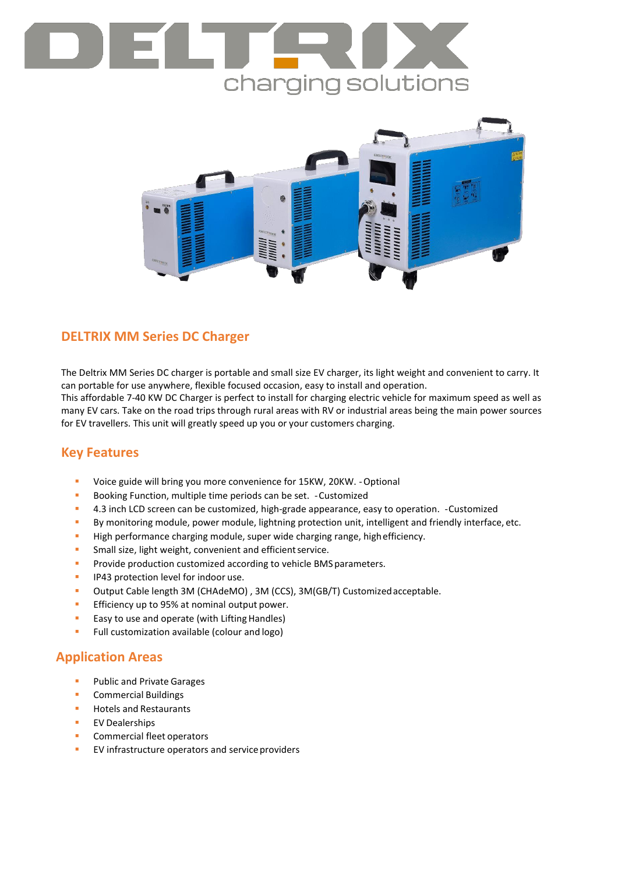# charging solutions



# **DELTRIX MM Series DC Charger**

The Deltrix MM Series DC charger is portable and small size EV charger, its light weight and convenient to carry. It can portable for use anywhere, flexible focused occasion, easy to install and operation. This affordable 7-40 KW DC Charger is perfect to install for charging electric vehicle for maximum speed as well as many EV cars. Take on the road trips through rural areas with RV or industrial areas being the main power sources for EV travellers. This unit will greatly speed up you or your customers charging.

## **Key Features**

- Voice guide will bring you more convenience for 15KW, 20KW. -Optional
- **Booking Function, multiple time periods can be set.** Customized
- **4.3** inch LCD screen can be customized, high-grade appearance, easy to operation. -Customized
- By monitoring module, power module, lightning protection unit, intelligent and friendly interface, etc.
- High performance charging module, super wide charging range, highefficiency.
- **Small size, light weight, convenient and efficient service.**
- **Provide production customized according to vehicle BMS parameters.**
- **IP43 protection level for indoor use.**
- Output Cable length 3M (CHAdeMO) , 3M (CCS), 3M(GB/T) Customizedacceptable.
- **Efficiency up to 95% at nominal output power.**
- **Easy to use and operate (with Lifting Handles)**
- **Full customization available (colour and logo)**

## **Application Areas**

- Public and Private Garages
- **•** Commercial Buildings
- **Hotels and Restaurants**
- **EV Dealerships**
- **Commercial fleet operators**
- **EV** infrastructure operators and service providers